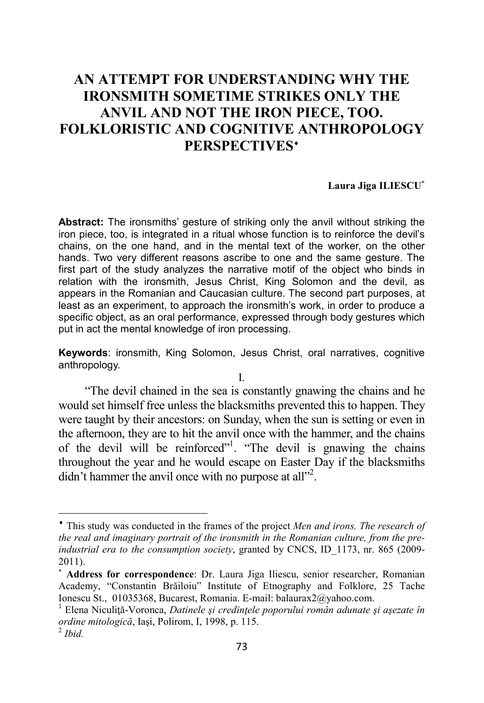# **AN ATTEMPT FOR UNDERSTANDING WHY THE IRONSMITH SOMETIME STRIKES ONLY THE ANVIL AND NOT THE IRON PIECE, TOO. FOLKLORISTIC AND COGNITIVE ANTHROPOLOGY PERSPECTIVES**♦

#### **Laura Jiga ILIESCU**<sup>∗</sup>

**Abstract:** The ironsmiths' gesture of striking only the anvil without striking the iron piece, too, is integrated in a ritual whose function is to reinforce the devil's chains, on the one hand, and in the mental text of the worker, on the other hands. Two very different reasons ascribe to one and the same gesture. The first part of the study analyzes the narrative motif of the object who binds in relation with the ironsmith, Jesus Christ, King Solomon and the devil, as appears in the Romanian and Caucasian culture. The second part purposes, at least as an experiment, to approach the ironsmith's work, in order to produce a specific object, as an oral performance, expressed through body gestures which put in act the mental knowledge of iron processing.

**Keywords**: ironsmith, King Solomon, Jesus Christ, oral narratives, cognitive anthropology.

I.

 "The devil chained in the sea is constantly gnawing the chains and he would set himself free unless the blacksmiths prevented this to happen. They were taught by their ancestors: on Sunday, when the sun is setting or even in the afternoon, they are to hit the anvil once with the hammer, and the chains of the devil will be reinforced"<sup>1</sup>. "The devil is gnawing the chains throughout the year and he would escape on Easter Day if the blacksmiths didn't hammer the anvil once with no purpose at all"<sup>2</sup>.

<sup>♦</sup> This study was conducted in the frames of the project *Men and irons. The research of the real and imaginary portrait of the ironsmith in the Romanian culture, from the preindustrial era to the consumption society*, granted by CNCS, ID\_1173, nr. 865 (2009- 2011).

<sup>∗</sup> **Address for correspondence**: Dr. Laura Jiga Iliescu, senior researcher, Romanian Academy, "Constantin Brăiloiu" Institute of Etnography and Folklore, 25 Tache Ionescu St., 01035368, Bucarest, Romania. E-mail: balaurax2@yahoo.com.

<sup>1</sup> Elena Niculiţă-Voronca, *Datinele şi credinţele poporului român adunate şi aşezate în ordine mitologică*, Iaşi, Polirom, I, 1998, p. 115. 2 *Ibid.*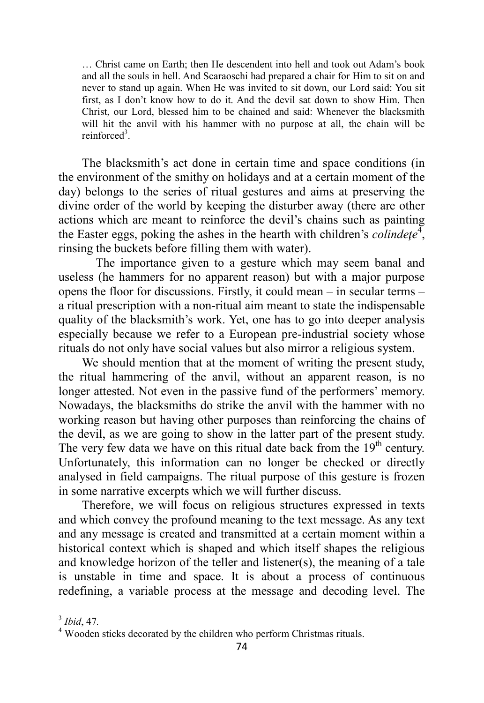… Christ came on Earth; then He descendent into hell and took out Adam's book and all the souls in hell. And Scaraoschi had prepared a chair for Him to sit on and never to stand up again. When He was invited to sit down, our Lord said: You sit first, as I don't know how to do it. And the devil sat down to show Him. Then Christ, our Lord, blessed him to be chained and said: Whenever the blacksmith will hit the anvil with his hammer with no purpose at all, the chain will be reinforced<sup>3</sup>.

The blacksmith's act done in certain time and space conditions (in the environment of the smithy on holidays and at a certain moment of the day) belongs to the series of ritual gestures and aims at preserving the divine order of the world by keeping the disturber away (there are other actions which are meant to reinforce the devil's chains such as painting the Easter eggs, poking the ashes in the hearth with children's *colindete*<sup>4</sup>, rinsing the buckets before filling them with water).

 The importance given to a gesture which may seem banal and useless (he hammers for no apparent reason) but with a major purpose opens the floor for discussions. Firstly, it could mean – in secular terms – a ritual prescription with a non-ritual aim meant to state the indispensable quality of the blacksmith's work. Yet, one has to go into deeper analysis especially because we refer to a European pre-industrial society whose rituals do not only have social values but also mirror a religious system.

We should mention that at the moment of writing the present study, the ritual hammering of the anvil, without an apparent reason, is no longer attested. Not even in the passive fund of the performers' memory. Nowadays, the blacksmiths do strike the anvil with the hammer with no working reason but having other purposes than reinforcing the chains of the devil, as we are going to show in the latter part of the present study. The very few data we have on this ritual date back from the  $19<sup>th</sup>$  century. Unfortunately, this information can no longer be checked or directly analysed in field campaigns. The ritual purpose of this gesture is frozen in some narrative excerpts which we will further discuss.

Therefore, we will focus on religious structures expressed in texts and which convey the profound meaning to the text message. As any text and any message is created and transmitted at a certain moment within a historical context which is shaped and which itself shapes the religious and knowledge horizon of the teller and listener(s), the meaning of a tale is unstable in time and space. It is about a process of continuous redefining, a variable process at the message and decoding level. The

 $\overline{a}$ 

<sup>3</sup> *Ibid*, 47*.*

<sup>&</sup>lt;sup>4</sup> Wooden sticks decorated by the children who perform Christmas rituals.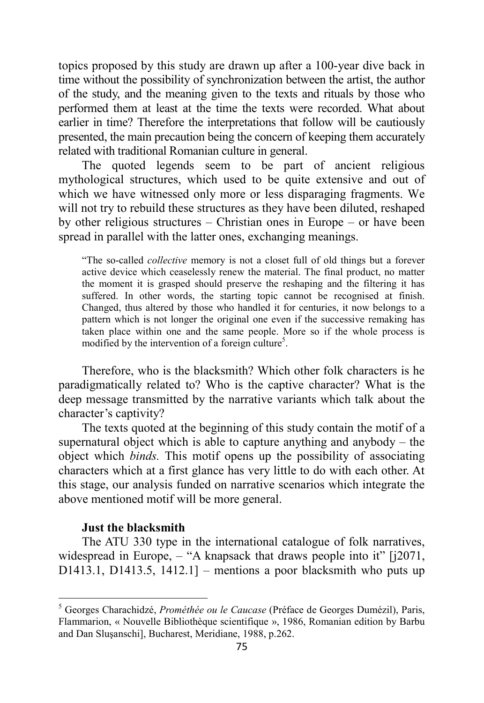topics proposed by this study are drawn up after a 100-year dive back in time without the possibility of synchronization between the artist, the author of the study, and the meaning given to the texts and rituals by those who performed them at least at the time the texts were recorded. What about earlier in time? Therefore the interpretations that follow will be cautiously presented, the main precaution being the concern of keeping them accurately related with traditional Romanian culture in general.

The quoted legends seem to be part of ancient religious mythological structures, which used to be quite extensive and out of which we have witnessed only more or less disparaging fragments. We will not try to rebuild these structures as they have been diluted, reshaped by other religious structures – Christian ones in Europe – or have been spread in parallel with the latter ones, exchanging meanings.

"The so-called *collective* memory is not a closet full of old things but a forever active device which ceaselessly renew the material. The final product, no matter the moment it is grasped should preserve the reshaping and the filtering it has suffered. In other words, the starting topic cannot be recognised at finish. Changed, thus altered by those who handled it for centuries, it now belongs to a pattern which is not longer the original one even if the successive remaking has taken place within one and the same people. More so if the whole process is modified by the intervention of a foreign culture<sup>5</sup>.

Therefore, who is the blacksmith? Which other folk characters is he paradigmatically related to? Who is the captive character? What is the deep message transmitted by the narrative variants which talk about the character's captivity?

The texts quoted at the beginning of this study contain the motif of a supernatural object which is able to capture anything and anybody – the object which *binds.* This motif opens up the possibility of associating characters which at a first glance has very little to do with each other. At this stage, our analysis funded on narrative scenarios which integrate the above mentioned motif will be more general.

## **Just the blacksmith**

l

The ATU 330 type in the international catalogue of folk narratives, widespread in Europe,  $-$  "A knapsack that draws people into it" [i2071, D1413.1, D1413.5,  $1412.1$ ] – mentions a poor blacksmith who puts up

<sup>5</sup> Georges Charachidzé, *Prométhée ou le Caucase* (Préface de Georges Dumézil), Paris, Flammarion, « Nouvelle Bibliothèque scientifique », 1986, Romanian edition by Barbu and Dan Sluşanschi], Bucharest, Meridiane, 1988, p.262.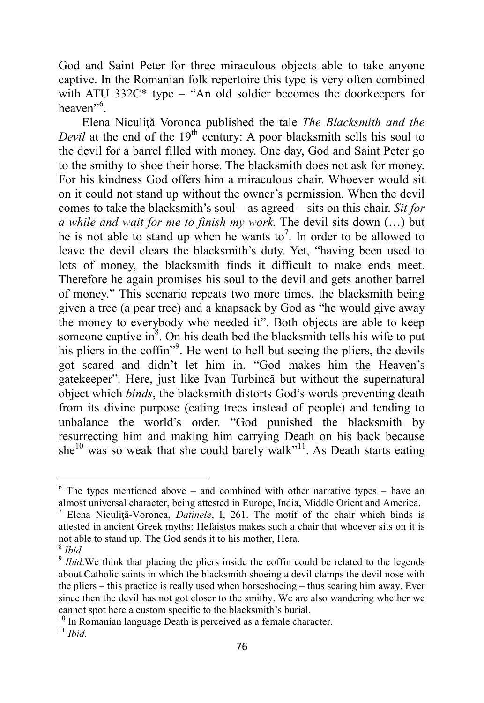God and Saint Peter for three miraculous objects able to take anyone captive. In the Romanian folk repertoire this type is very often combined with ATU 332C\* type – "An old soldier becomes the doorkeepers for heaven<sup>",6</sup>.

Elena Niculiţă Voronca published the tale *The Blacksmith and the Devil* at the end of the  $19<sup>th</sup>$  century: A poor blacksmith sells his soul to the devil for a barrel filled with money. One day, God and Saint Peter go to the smithy to shoe their horse. The blacksmith does not ask for money. For his kindness God offers him a miraculous chair. Whoever would sit on it could not stand up without the owner's permission. When the devil comes to take the blacksmith's soul – as agreed – sits on this chair. *Sit for a while and wait for me to finish my work.* The devil sits down (…) but he is not able to stand up when he wants to<sup>7</sup>. In order to be allowed to leave the devil clears the blacksmith's duty. Yet, "having been used to lots of money, the blacksmith finds it difficult to make ends meet. Therefore he again promises his soul to the devil and gets another barrel of money." This scenario repeats two more times, the blacksmith being given a tree (a pear tree) and a knapsack by God as "he would give away the money to everybody who needed it". Both objects are able to keep someone captive in $8$ . On his death bed the blacksmith tells his wife to put his pliers in the coffin<sup>"9</sup>. He went to hell but seeing the pliers, the devils got scared and didn't let him in. "God makes him the Heaven's gatekeeper". Here, just like Ivan Turbincă but without the supernatural object which *binds*, the blacksmith distorts God's words preventing death from its divine purpose (eating trees instead of people) and tending to unbalance the world's order. "God punished the blacksmith by resurrecting him and making him carrying Death on his back because she<sup>10</sup> was so weak that she could barely walk"<sup>11</sup>. As Death starts eating

 $6$  The types mentioned above – and combined with other narrative types – have an almost universal character, being attested in Europe, India, Middle Orient and America.

<sup>7</sup> Elena Niculiţă-Voronca, *Datinele*, I, 261. The motif of the chair which binds is attested in ancient Greek myths: Hefaistos makes such a chair that whoever sits on it is not able to stand up. The God sends it to his mother, Hera.

<sup>8</sup> *Ibid.*

<sup>&</sup>lt;sup>9</sup> Ibid.We think that placing the pliers inside the coffin could be related to the legends about Catholic saints in which the blacksmith shoeing a devil clamps the devil nose with the pliers – this practice is really used when horseshoeing – thus scaring him away. Ever since then the devil has not got closer to the smithy. We are also wandering whether we cannot spot here a custom specific to the blacksmith's burial.

<sup>&</sup>lt;sup>10</sup> In Romanian language Death is perceived as a female character.

 $11$  *Ihid*.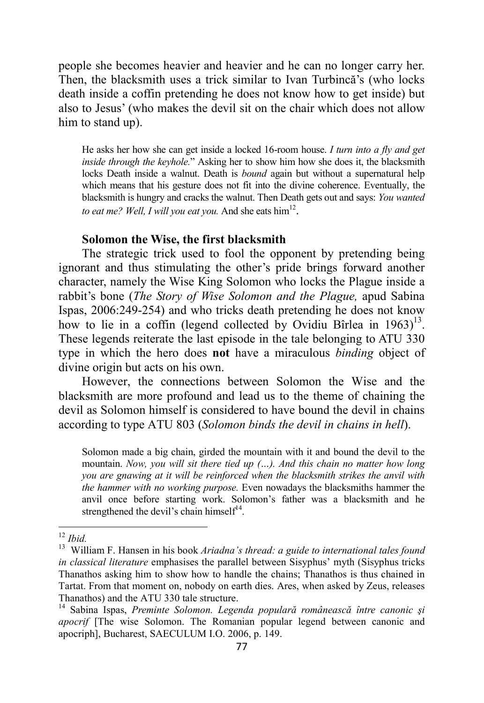people she becomes heavier and heavier and he can no longer carry her. Then, the blacksmith uses a trick similar to Ivan Turbincă's (who locks death inside a coffin pretending he does not know how to get inside) but also to Jesus' (who makes the devil sit on the chair which does not allow him to stand up).

He asks her how she can get inside a locked 16-room house. *I turn into a fly and get inside through the keyhole.*" Asking her to show him how she does it, the blacksmith locks Death inside a walnut. Death is *bound* again but without a supernatural help which means that his gesture does not fit into the divine coherence. Eventually, the blacksmith is hungry and cracks the walnut. Then Death gets out and says: *You wanted to eat me? Well, I will you eat you.* And she eats  $\text{him}^{12}$ .

#### **Solomon the Wise, the first blacksmith**

The strategic trick used to fool the opponent by pretending being ignorant and thus stimulating the other's pride brings forward another character, namely the Wise King Solomon who locks the Plague inside a rabbit's bone (*The Story of Wise Solomon and the Plague,* apud Sabina Ispas, 2006:249-254) and who tricks death pretending he does not know how to lie in a coffin (legend collected by Ovidiu Bîrlea in  $1963$ )<sup>13</sup>. These legends reiterate the last episode in the tale belonging to ATU 330 type in which the hero does **not** have a miraculous *binding* object of divine origin but acts on his own.

However, the connections between Solomon the Wise and the blacksmith are more profound and lead us to the theme of chaining the devil as Solomon himself is considered to have bound the devil in chains according to type ATU 803 (*Solomon binds the devil in chains in hell*).

Solomon made a big chain, girded the mountain with it and bound the devil to the mountain. *Now, you will sit there tied up (…). And this chain no matter how long you are gnawing at it will be reinforced when the blacksmith strikes the anvil with the hammer with no working purpose.* Even nowadays the blacksmiths hammer the anvil once before starting work. Solomon's father was a blacksmith and he strengthened the devil's chain himself $^{14}$ .

<sup>12</sup> *Ibid.*

<sup>13</sup> William F. Hansen in his book *Ariadna's thread: a guide to international tales found in classical literature* emphasises the parallel between Sisyphus' myth (Sisyphus tricks Thanathos asking him to show how to handle the chains; Thanathos is thus chained in Tartat. From that moment on, nobody on earth dies. Ares, when asked by Zeus, releases Thanathos) and the ATU 330 tale structure.

<sup>14</sup> Sabina Ispas, *Preminte Solomon. Legenda populară românească între canonic şi apocrif* [The wise Solomon. The Romanian popular legend between canonic and apocriph], Bucharest, SAECULUM I.O. 2006, p. 149.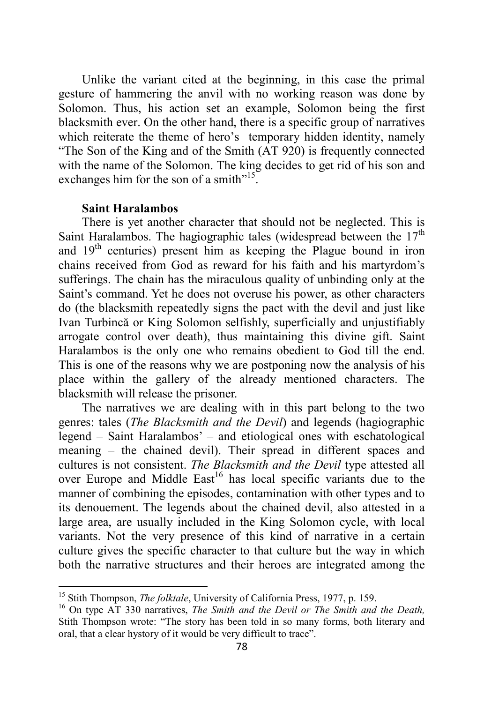Unlike the variant cited at the beginning, in this case the primal gesture of hammering the anvil with no working reason was done by Solomon. Thus, his action set an example, Solomon being the first blacksmith ever. On the other hand, there is a specific group of narratives which reiterate the theme of hero's temporary hidden identity, namely "The Son of the King and of the Smith (AT 920) is frequently connected with the name of the Solomon. The king decides to get rid of his son and exchanges him for the son of a smith $"15"$ .

#### **Saint Haralambos**

l

There is yet another character that should not be neglected. This is Saint Haralambos. The hagiographic tales (widespread between the  $17<sup>th</sup>$ and  $19<sup>th</sup>$  centuries) present him as keeping the Plague bound in iron chains received from God as reward for his faith and his martyrdom's sufferings. The chain has the miraculous quality of unbinding only at the Saint's command. Yet he does not overuse his power, as other characters do (the blacksmith repeatedly signs the pact with the devil and just like Ivan Turbincă or King Solomon selfishly, superficially and unjustifiably arrogate control over death), thus maintaining this divine gift. Saint Haralambos is the only one who remains obedient to God till the end. This is one of the reasons why we are postponing now the analysis of his place within the gallery of the already mentioned characters. The blacksmith will release the prisoner.

The narratives we are dealing with in this part belong to the two genres: tales (*The Blacksmith and the Devil*) and legends (hagiographic legend – Saint Haralambos' – and etiological ones with eschatological meaning – the chained devil). Their spread in different spaces and cultures is not consistent. *The Blacksmith and the Devil* type attested all over Europe and Middle  $East^{16}$  has local specific variants due to the manner of combining the episodes, contamination with other types and to its denouement. The legends about the chained devil, also attested in a large area, are usually included in the King Solomon cycle, with local variants. Not the very presence of this kind of narrative in a certain culture gives the specific character to that culture but the way in which both the narrative structures and their heroes are integrated among the

<sup>15</sup> Stith Thompson, *The folktale*, University of California Press, 1977, p. 159.

<sup>16</sup> On type AT 330 narratives, *The Smith and the Devil or The Smith and the Death,* Stith Thompson wrote: "The story has been told in so many forms, both literary and oral, that a clear hystory of it would be very difficult to trace".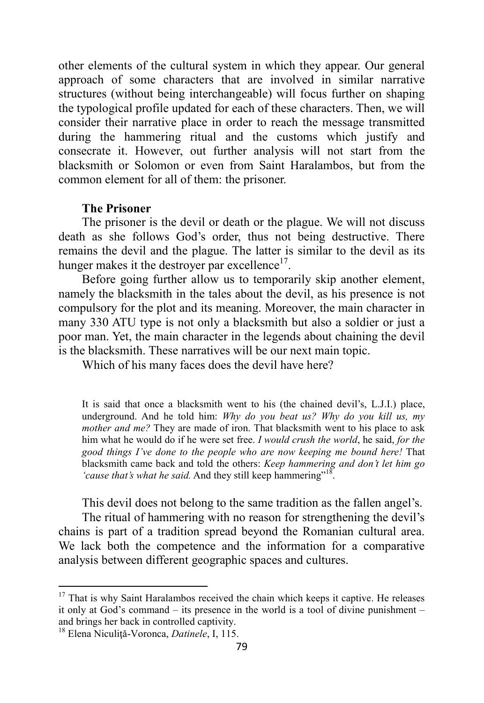other elements of the cultural system in which they appear. Our general approach of some characters that are involved in similar narrative structures (without being interchangeable) will focus further on shaping the typological profile updated for each of these characters. Then, we will consider their narrative place in order to reach the message transmitted during the hammering ritual and the customs which justify and consecrate it. However, out further analysis will not start from the blacksmith or Solomon or even from Saint Haralambos, but from the common element for all of them: the prisoner.

### **The Prisoner**

The prisoner is the devil or death or the plague. We will not discuss death as she follows God's order, thus not being destructive. There remains the devil and the plague. The latter is similar to the devil as its hunger makes it the destroyer par excellence $17$ .

Before going further allow us to temporarily skip another element, namely the blacksmith in the tales about the devil, as his presence is not compulsory for the plot and its meaning. Moreover, the main character in many 330 ATU type is not only a blacksmith but also a soldier or just a poor man. Yet, the main character in the legends about chaining the devil is the blacksmith. These narratives will be our next main topic.

Which of his many faces does the devil have here?

It is said that once a blacksmith went to his (the chained devil's, L.J.I.) place, underground. And he told him: *Why do you beat us? Why do you kill us, my mother and me?* They are made of iron. That blacksmith went to his place to ask him what he would do if he were set free. *I would crush the world*, he said, *for the good things I've done to the people who are now keeping me bound here!* That blacksmith came back and told the others: *Keep hammering and don't let him go*  'cause that's what he said. And they still keep hammering"<sup>18</sup>.

This devil does not belong to the same tradition as the fallen angel's.

The ritual of hammering with no reason for strengthening the devil's chains is part of a tradition spread beyond the Romanian cultural area. We lack both the competence and the information for a comparative analysis between different geographic spaces and cultures.

<sup>&</sup>lt;sup>17</sup> That is why Saint Haralambos received the chain which keeps it captive. He releases it only at God's command – its presence in the world is a tool of divine punishment – and brings her back in controlled captivity.

<sup>18</sup> Elena Niculiţă-Voronca, *Datinele*, I, 115.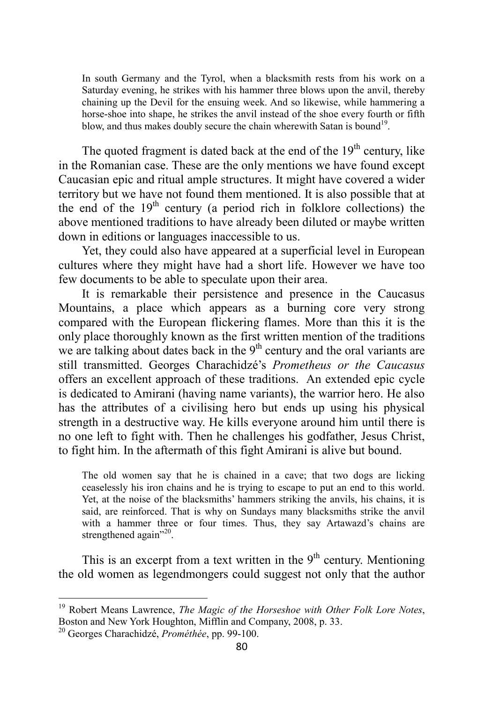In south Germany and the Tyrol, when a blacksmith rests from his work on a Saturday evening, he strikes with his hammer three blows upon the anvil, thereby chaining up the Devil for the ensuing week. And so likewise, while hammering a horse-shoe into shape, he strikes the anvil instead of the shoe every fourth or fifth blow, and thus makes doubly secure the chain wherewith Satan is bound<sup>19</sup>.

The quoted fragment is dated back at the end of the  $19<sup>th</sup>$  century, like in the Romanian case. These are the only mentions we have found except Caucasian epic and ritual ample structures. It might have covered a wider territory but we have not found them mentioned. It is also possible that at the end of the  $19<sup>th</sup>$  century (a period rich in folklore collections) the above mentioned traditions to have already been diluted or maybe written down in editions or languages inaccessible to us.

Yet, they could also have appeared at a superficial level in European cultures where they might have had a short life. However we have too few documents to be able to speculate upon their area.

It is remarkable their persistence and presence in the Caucasus Mountains, a place which appears as a burning core very strong compared with the European flickering flames. More than this it is the only place thoroughly known as the first written mention of the traditions we are talking about dates back in the  $9<sup>th</sup>$  century and the oral variants are still transmitted. Georges Charachidzé's *Prometheus or the Caucasus* offers an excellent approach of these traditions. An extended epic cycle is dedicated to Amirani (having name variants), the warrior hero. He also has the attributes of a civilising hero but ends up using his physical strength in a destructive way. He kills everyone around him until there is no one left to fight with. Then he challenges his godfather, Jesus Christ, to fight him. In the aftermath of this fight Amirani is alive but bound.

The old women say that he is chained in a cave; that two dogs are licking ceaselessly his iron chains and he is trying to escape to put an end to this world. Yet, at the noise of the blacksmiths' hammers striking the anvils, his chains, it is said, are reinforced. That is why on Sundays many blacksmiths strike the anvil with a hammer three or four times. Thus, they say Artawazd's chains are strengthened again"<sup>20</sup>.

This is an excerpt from a text written in the  $9<sup>th</sup>$  century. Mentioning the old women as legendmongers could suggest not only that the author

<sup>19</sup> Robert Means Lawrence, *The Magic of the Horseshoe with Other Folk Lore Notes*, Boston and New York Houghton, Mifflin and Company, 2008, p. 33.

<sup>20</sup> Georges Charachidzé, *Prométhée*, pp. 99-100.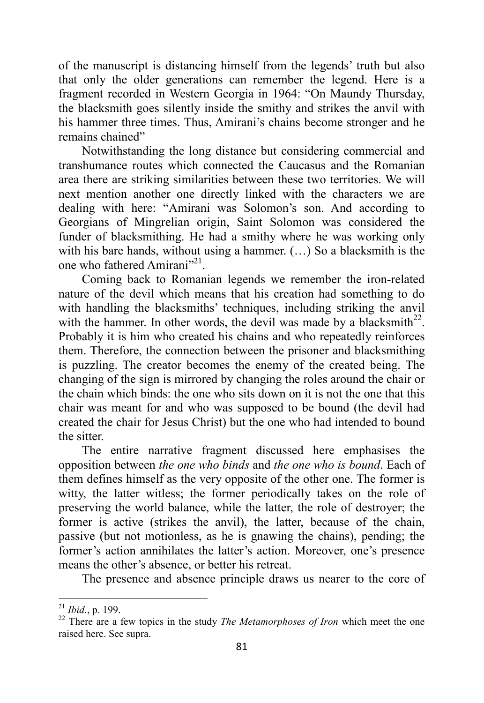of the manuscript is distancing himself from the legends' truth but also that only the older generations can remember the legend. Here is a fragment recorded in Western Georgia in 1964: "On Maundy Thursday, the blacksmith goes silently inside the smithy and strikes the anvil with his hammer three times. Thus, Amirani's chains become stronger and he remains chained"

Notwithstanding the long distance but considering commercial and transhumance routes which connected the Caucasus and the Romanian area there are striking similarities between these two territories. We will next mention another one directly linked with the characters we are dealing with here: "Amirani was Solomon's son. And according to Georgians of Mingrelian origin, Saint Solomon was considered the funder of blacksmithing. He had a smithy where he was working only with his bare hands, without using a hammer. (…) So a blacksmith is the one who fathered Amirani"<sup>21</sup>.

Coming back to Romanian legends we remember the iron-related nature of the devil which means that his creation had something to do with handling the blacksmiths' techniques, including striking the anvil with the hammer. In other words, the devil was made by a blacksmith $^{22}$ . Probably it is him who created his chains and who repeatedly reinforces them. Therefore, the connection between the prisoner and blacksmithing is puzzling. The creator becomes the enemy of the created being. The changing of the sign is mirrored by changing the roles around the chair or the chain which binds: the one who sits down on it is not the one that this chair was meant for and who was supposed to be bound (the devil had created the chair for Jesus Christ) but the one who had intended to bound the sitter.

The entire narrative fragment discussed here emphasises the opposition between *the one who binds* and *the one who is bound*. Each of them defines himself as the very opposite of the other one. The former is witty, the latter witless; the former periodically takes on the role of preserving the world balance, while the latter, the role of destroyer; the former is active (strikes the anvil), the latter, because of the chain, passive (but not motionless, as he is gnawing the chains), pending; the former's action annihilates the latter's action. Moreover, one's presence means the other's absence, or better his retreat.

The presence and absence principle draws us nearer to the core of

<sup>21</sup> *Ibid.*, p. 199.

<sup>&</sup>lt;sup>22</sup> There are a few topics in the study *The Metamorphoses of Iron* which meet the one raised here. See supra.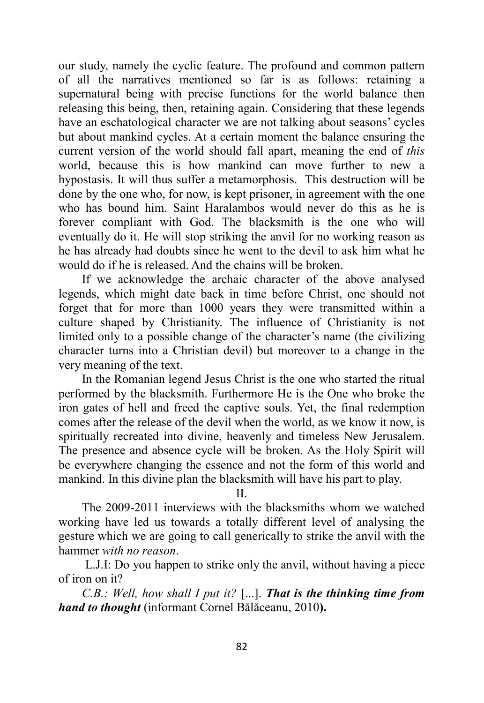our study, namely the cyclic feature. The profound and common pattern of all the narratives mentioned so far is as follows: retaining a supernatural being with precise functions for the world balance then releasing this being, then, retaining again. Considering that these legends have an eschatological character we are not talking about seasons' cycles but about mankind cycles. At a certain moment the balance ensuring the current version of the world should fall apart, meaning the end of *this* world, because this is how mankind can move further to new a hypostasis. It will thus suffer a metamorphosis. This destruction will be done by the one who, for now, is kept prisoner, in agreement with the one who has bound him. Saint Haralambos would never do this as he is forever compliant with God. The blacksmith is the one who will eventually do it. He will stop striking the anvil for no working reason as he has already had doubts since he went to the devil to ask him what he would do if he is released. And the chains will be broken.

If we acknowledge the archaic character of the above analysed legends, which might date back in time before Christ, one should not forget that for more than 1000 years they were transmitted within a culture shaped by Christianity. The influence of Christianity is not limited only to a possible change of the character's name (the civilizing character turns into a Christian devil) but moreover to a change in the very meaning of the text.

In the Romanian legend Jesus Christ is the one who started the ritual performed by the blacksmith. Furthermore He is the One who broke the iron gates of hell and freed the captive souls. Yet, the final redemption comes after the release of the devil when the world, as we know it now, is spiritually recreated into divine, heavenly and timeless New Jerusalem. The presence and absence cycle will be broken. As the Holy Spirit will be everywhere changing the essence and not the form of this world and mankind. In this divine plan the blacksmith will have his part to play.

II.

The 2009-2011 interviews with the blacksmiths whom we watched working have led us towards a totally different level of analysing the gesture which we are going to call generically to strike the anvil with the hammer *with no reason*.

 L.J.I: Do you happen to strike only the anvil, without having a piece of iron on it?

*C.B.: Well, how shall I put it?* [...]. *That is the thinking time from hand to thought* (informant Cornel Bălăceanu, 2010**).**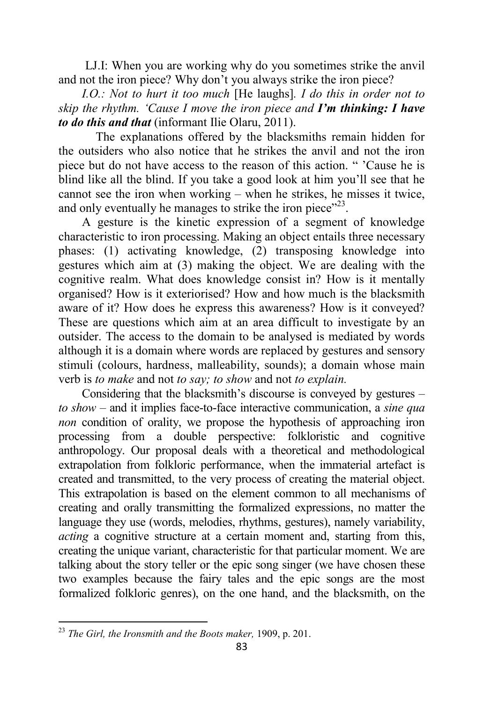LJ.I: When you are working why do you sometimes strike the anvil and not the iron piece? Why don't you always strike the iron piece?

*I.O.: Not to hurt it too much* [He laughs]*. I do this in order not to skip the rhythm. 'Cause I move the iron piece and I'm thinking: I have to do this and that* (informant Ilie Olaru, 2011).

 The explanations offered by the blacksmiths remain hidden for the outsiders who also notice that he strikes the anvil and not the iron piece but do not have access to the reason of this action. " 'Cause he is blind like all the blind. If you take a good look at him you'll see that he cannot see the iron when working – when he strikes, he misses it twice, and only eventually he manages to strike the iron piece"<sup>23</sup>.

A gesture is the kinetic expression of a segment of knowledge characteristic to iron processing. Making an object entails three necessary phases: (1) activating knowledge, (2) transposing knowledge into gestures which aim at (3) making the object. We are dealing with the cognitive realm. What does knowledge consist in? How is it mentally organised? How is it exteriorised? How and how much is the blacksmith aware of it? How does he express this awareness? How is it conveyed? These are questions which aim at an area difficult to investigate by an outsider. The access to the domain to be analysed is mediated by words although it is a domain where words are replaced by gestures and sensory stimuli (colours, hardness, malleability, sounds); a domain whose main verb is *to make* and not *to say; to show* and not *to explain.* 

Considering that the blacksmith's discourse is conveyed by gestures – *to show –* and it implies face-to-face interactive communication, a *sine qua non* condition of orality, we propose the hypothesis of approaching iron processing from a double perspective: folkloristic and cognitive anthropology. Our proposal deals with a theoretical and methodological extrapolation from folkloric performance, when the immaterial artefact is created and transmitted, to the very process of creating the material object. This extrapolation is based on the element common to all mechanisms of creating and orally transmitting the formalized expressions, no matter the language they use (words, melodies, rhythms, gestures), namely variability, *acting* a cognitive structure at a certain moment and, starting from this, creating the unique variant, characteristic for that particular moment. We are talking about the story teller or the epic song singer (we have chosen these two examples because the fairy tales and the epic songs are the most formalized folkloric genres), on the one hand, and the blacksmith, on the

<sup>23</sup> *The Girl, the Ironsmith and the Boots maker,* 1909, p. 201.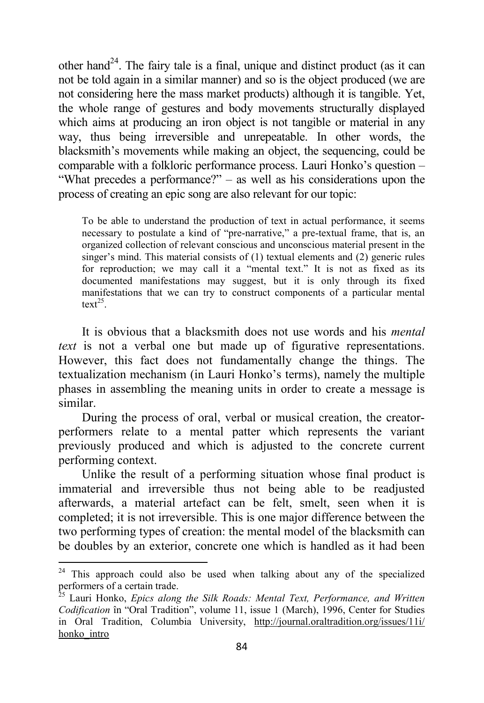other hand<sup>24</sup>. The fairy tale is a final, unique and distinct product (as it can not be told again in a similar manner) and so is the object produced (we are not considering here the mass market products) although it is tangible. Yet, the whole range of gestures and body movements structurally displayed which aims at producing an iron object is not tangible or material in any way, thus being irreversible and unrepeatable. In other words, the blacksmith's movements while making an object, the sequencing, could be comparable with a folkloric performance process. Lauri Honko's question – "What precedes a performance?" – as well as his considerations upon the process of creating an epic song are also relevant for our topic:

To be able to understand the production of text in actual performance, it seems necessary to postulate a kind of "pre-narrative," a pre-textual frame, that is, an organized collection of relevant conscious and unconscious material present in the singer's mind. This material consists of (1) textual elements and (2) generic rules for reproduction; we may call it a "mental text." It is not as fixed as its documented manifestations may suggest, but it is only through its fixed manifestations that we can try to construct components of a particular mental  $text{text}^{25}$ .

It is obvious that a blacksmith does not use words and his *mental text* is not a verbal one but made up of figurative representations. However, this fact does not fundamentally change the things. The textualization mechanism (in Lauri Honko's terms), namely the multiple phases in assembling the meaning units in order to create a message is similar.

During the process of oral, verbal or musical creation, the creatorperformers relate to a mental patter which represents the variant previously produced and which is adjusted to the concrete current performing context.

Unlike the result of a performing situation whose final product is immaterial and irreversible thus not being able to be readjusted afterwards, a material artefact can be felt, smelt, seen when it is completed; it is not irreversible. This is one major difference between the two performing types of creation: the mental model of the blacksmith can be doubles by an exterior, concrete one which is handled as it had been

 $\overline{\phantom{0}}$ 

 $24$  This approach could also be used when talking about any of the specialized performers of a certain trade.

<sup>&</sup>lt;sup>25</sup> Lauri Honko, *Epics along the Silk Roads: Mental Text, Performance, and Written Codification* în "Oral Tradition", volume 11, issue 1 (March), 1996, Center for Studies in Oral Tradition, Columbia University, http://journal.oraltradition.org/issues/11i/ honko\_intro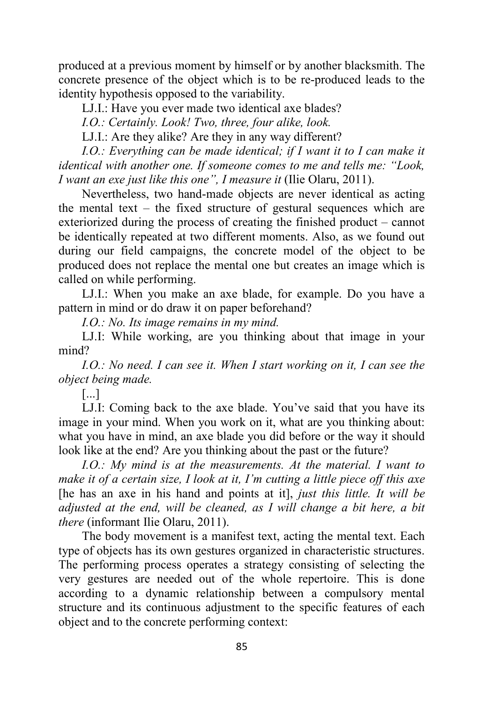produced at a previous moment by himself or by another blacksmith. The concrete presence of the object which is to be re-produced leads to the identity hypothesis opposed to the variability.

LJ.I.: Have you ever made two identical axe blades?

*I.O.: Certainly. Look! Two, three, four alike, look.* 

LJ.I.: Are they alike? Are they in any way different?

*I.O.: Everything can be made identical; if I want it to I can make it identical with another one. If someone comes to me and tells me: "Look, I want an exe just like this one", I measure it* (Ilie Olaru, 2011).

Nevertheless, two hand-made objects are never identical as acting the mental text – the fixed structure of gestural sequences which are exteriorized during the process of creating the finished product – cannot be identically repeated at two different moments. Also, as we found out during our field campaigns, the concrete model of the object to be produced does not replace the mental one but creates an image which is called on while performing.

LJ.I.: When you make an axe blade, for example. Do you have a pattern in mind or do draw it on paper beforehand?

*I.O.: No. Its image remains in my mind.* 

LJ.I: While working, are you thinking about that image in your mind?

*I.O.: No need. I can see it. When I start working on it, I can see the object being made.* 

[...]

LJ.I: Coming back to the axe blade. You've said that you have its image in your mind. When you work on it, what are you thinking about: what you have in mind, an axe blade you did before or the way it should look like at the end? Are you thinking about the past or the future?

*I.O.: My mind is at the measurements. At the material. I want to make it of a certain size, I look at it, I'm cutting a little piece off this axe*  [he has an axe in his hand and points at it], *just this little. It will be adjusted at the end, will be cleaned, as I will change a bit here, a bit there* (informant Ilie Olaru, 2011).

The body movement is a manifest text, acting the mental text. Each type of objects has its own gestures organized in characteristic structures. The performing process operates a strategy consisting of selecting the very gestures are needed out of the whole repertoire. This is done according to a dynamic relationship between a compulsory mental structure and its continuous adjustment to the specific features of each object and to the concrete performing context: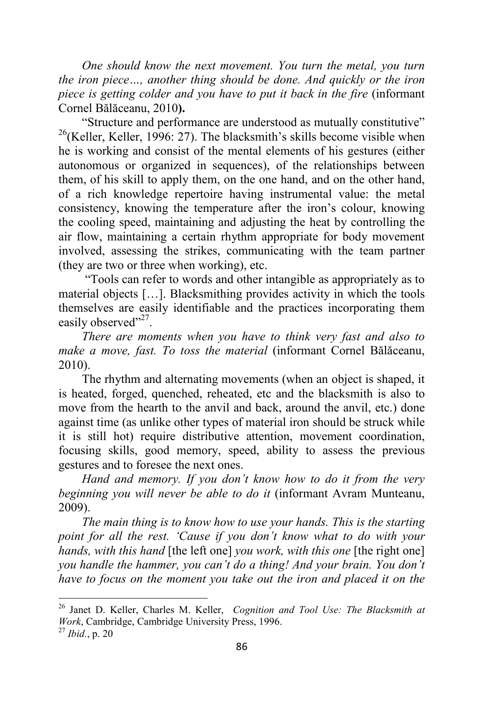*One should know the next movement. You turn the metal, you turn the iron piece…, another thing should be done. And quickly or the iron piece is getting colder and you have to put it back in the fire* (informant Cornel Bălăceanu, 2010**).**

"Structure and performance are understood as mutually constitutive"  $26$ (Keller, Keller, 1996: 27). The blacksmith's skills become visible when he is working and consist of the mental elements of his gestures (either autonomous or organized in sequences), of the relationships between them, of his skill to apply them, on the one hand, and on the other hand, of a rich knowledge repertoire having instrumental value: the metal consistency, knowing the temperature after the iron's colour, knowing the cooling speed, maintaining and adjusting the heat by controlling the air flow, maintaining a certain rhythm appropriate for body movement involved, assessing the strikes, communicating with the team partner (they are two or three when working), etc.

 "Tools can refer to words and other intangible as appropriately as to material objects […]. Blacksmithing provides activity in which the tools themselves are easily identifiable and the practices incorporating them easily observed"<sup>27</sup>.

*There are moments when you have to think very fast and also to make a move, fast. To toss the material* (informant Cornel Bălăceanu, 2010).

The rhythm and alternating movements (when an object is shaped, it is heated, forged, quenched, reheated, etc and the blacksmith is also to move from the hearth to the anvil and back, around the anvil, etc.) done against time (as unlike other types of material iron should be struck while it is still hot) require distributive attention, movement coordination, focusing skills, good memory, speed, ability to assess the previous gestures and to foresee the next ones.

*Hand and memory. If you don't know how to do it from the very beginning you will never be able to do it* (informant Avram Munteanu, 2009).

*The main thing is to know how to use your hands. This is the starting point for all the rest. 'Cause if you don't know what to do with your hands, with this hand* [the left one] *you work, with this one* [the right one] *you handle the hammer, you can't do a thing! And your brain. You don't have to focus on the moment you take out the iron and placed it on the* 

<sup>26</sup> Janet D. Keller, Charles M. Keller, *Cognition and Tool Use: The Blacksmith at Work*, Cambridge, Cambridge University Press, 1996.

<sup>27</sup> *Ibid.*, p. 20